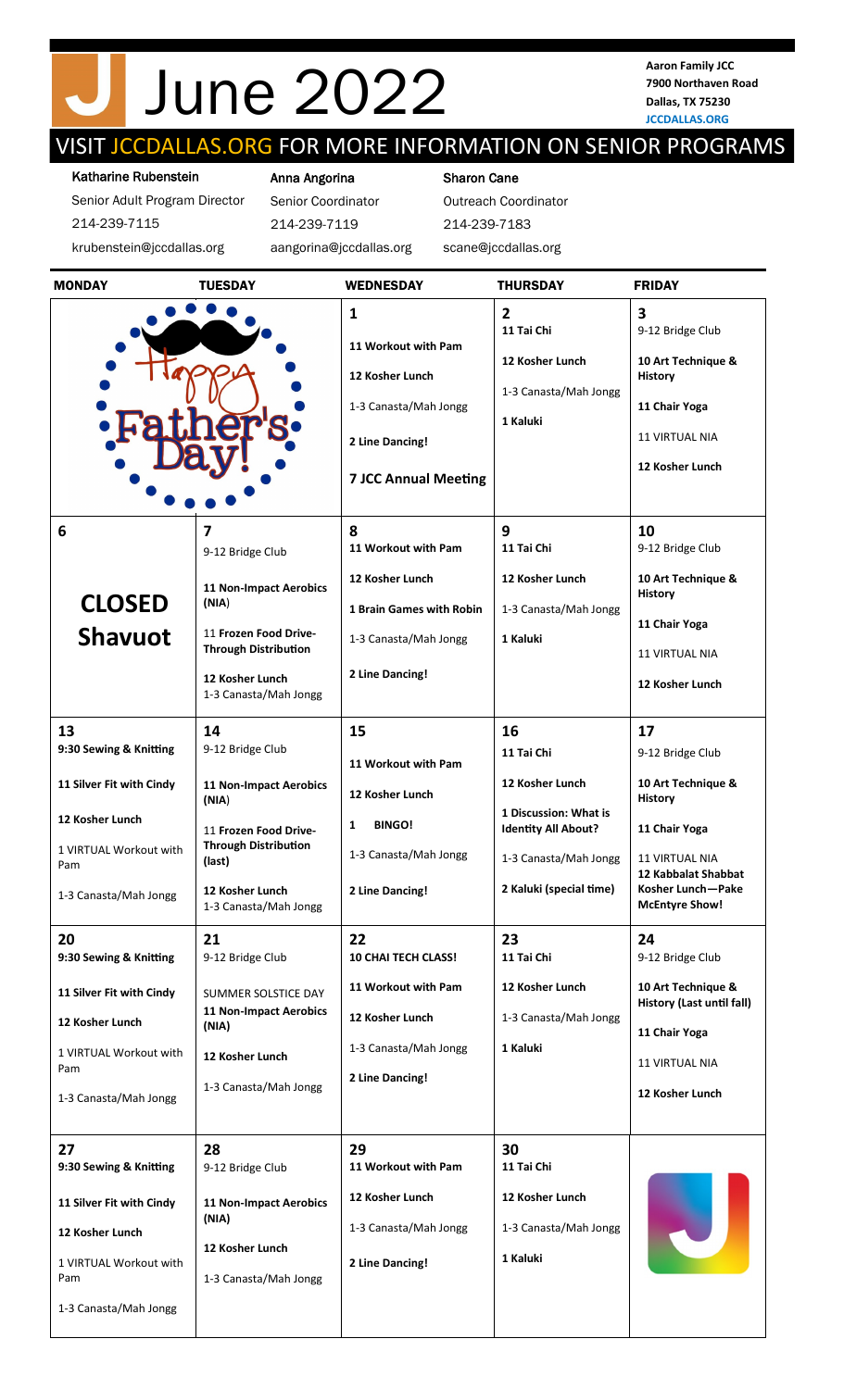# June 2022

**Aaron Family JCC 7900 Northaven Road Dallas, TX 75230 JCCDALLAS.ORG**

## VISIT JCCDALLAS.ORG FOR MORE INFORMATION ON SENIOR PROGRAMS

#### Katharine Rubenstein

Senior Adult Program Director 214-239-7115 krubenstein@jccdallas.org

Anna Angorina Senior Coordinator

214-239-7119

aangorina@jccdallas.org

#### Sharon Cane

Outreach Coordinator 214-239-7183 scane@jccdallas.org

| <b>MONDAY</b>                                                                                                                                                                                                                                  | <b>TUESDAY</b>                                                                                                                                                                                                                                                                               | <b>WEDNESDAY</b>                                                                                                                                                                                                      | <b>THURSDAY</b>                                                                                                                                                                                                            | <b>FRIDAY</b>                                                                                                                                                                                                                                                                                        |
|------------------------------------------------------------------------------------------------------------------------------------------------------------------------------------------------------------------------------------------------|----------------------------------------------------------------------------------------------------------------------------------------------------------------------------------------------------------------------------------------------------------------------------------------------|-----------------------------------------------------------------------------------------------------------------------------------------------------------------------------------------------------------------------|----------------------------------------------------------------------------------------------------------------------------------------------------------------------------------------------------------------------------|------------------------------------------------------------------------------------------------------------------------------------------------------------------------------------------------------------------------------------------------------------------------------------------------------|
|                                                                                                                                                                                                                                                |                                                                                                                                                                                                                                                                                              | $\mathbf{1}$<br>11 Workout with Pam<br>12 Kosher Lunch<br>1-3 Canasta/Mah Jongg<br>2 Line Dancing!<br><b>7 JCC Annual Meeting</b>                                                                                     | $\overline{2}$<br>11 Tai Chi<br>12 Kosher Lunch<br>1-3 Canasta/Mah Jongg<br>1 Kaluki                                                                                                                                       | $\overline{\mathbf{3}}$<br>9-12 Bridge Club<br>10 Art Technique &<br>History<br>11 Chair Yoga<br><b>11 VIRTUAL NIA</b><br>12 Kosher Lunch                                                                                                                                                            |
| 6                                                                                                                                                                                                                                              | $\overline{7}$<br>9-12 Bridge Club<br><b>11 Non-Impact Aerobics</b>                                                                                                                                                                                                                          | 8<br>11 Workout with Pam<br>12 Kosher Lunch                                                                                                                                                                           | 9<br>11 Tai Chi<br>12 Kosher Lunch                                                                                                                                                                                         | 10<br>9-12 Bridge Club<br>10 Art Technique &                                                                                                                                                                                                                                                         |
| <b>CLOSED</b><br><b>Shavuot</b>                                                                                                                                                                                                                | (NIA)<br>11 Frozen Food Drive-<br><b>Through Distribution</b><br>12 Kosher Lunch<br>1-3 Canasta/Mah Jongg                                                                                                                                                                                    | <b>1 Brain Games with Robin</b><br>1-3 Canasta/Mah Jongg<br>2 Line Dancing!                                                                                                                                           | 1-3 Canasta/Mah Jongg<br>1 Kaluki                                                                                                                                                                                          | History<br>11 Chair Yoga<br><b>11 VIRTUAL NIA</b><br>12 Kosher Lunch                                                                                                                                                                                                                                 |
| 13<br>9:30 Sewing & Knitting<br>11 Silver Fit with Cindy<br>12 Kosher Lunch<br>1 VIRTUAL Workout with<br>Pam<br>1-3 Canasta/Mah Jongg<br>20<br>9:30 Sewing & Knitting<br>11 Silver Fit with Cindy<br>12 Kosher Lunch<br>1 VIRTUAL Workout with | 14<br>9-12 Bridge Club<br><b>11 Non-Impact Aerobics</b><br>(NIA)<br>11 Frozen Food Drive-<br><b>Through Distribution</b><br>(last)<br>12 Kosher Lunch<br>1-3 Canasta/Mah Jongg<br>21<br>9-12 Bridge Club<br>SUMMER SOLSTICE DAY<br><b>11 Non-Impact Aerobics</b><br>(NIA)<br>12 Kosher Lunch | 15<br>11 Workout with Pam<br>12 Kosher Lunch<br><b>BINGO!</b><br>1<br>1-3 Canasta/Mah Jongg<br>2 Line Dancing!<br>22<br><b>10 CHAI TECH CLASS!</b><br>11 Workout with Pam<br>12 Kosher Lunch<br>1-3 Canasta/Mah Jongg | 16<br>11 Tai Chi<br>12 Kosher Lunch<br>1 Discussion: What is<br><b>Identity All About?</b><br>1-3 Canasta/Mah Jongg<br>2 Kaluki (special time)<br>23<br>11 Tai Chi<br>12 Kosher Lunch<br>1-3 Canasta/Mah Jongg<br>1 Kaluki | 17<br>9-12 Bridge Club<br>10 Art Technique &<br><b>History</b><br>11 Chair Yoga<br><b>11 VIRTUAL NIA</b><br>12 Kabbalat Shabbat<br>Kosher Lunch—Pake<br><b>McEntyre Show!</b><br>24<br>9-12 Bridge Club<br>10 Art Technique &<br><b>History (Last until fall)</b><br>11 Chair Yoga<br>11 VIRTUAL NIA |
| Pam<br>1-3 Canasta/Mah Jongg<br>27<br>9:30 Sewing & Knitting<br>11 Silver Fit with Cindy                                                                                                                                                       | 1-3 Canasta/Mah Jongg<br>28<br>9-12 Bridge Club<br><b>11 Non-Impact Aerobics</b>                                                                                                                                                                                                             | 2 Line Dancing!<br>29<br>11 Workout with Pam<br>12 Kosher Lunch                                                                                                                                                       | 30<br>11 Tai Chi<br>12 Kosher Lunch                                                                                                                                                                                        | 12 Kosher Lunch                                                                                                                                                                                                                                                                                      |
| 12 Kosher Lunch<br>1 VIRTUAL Workout with<br>Pam<br>1-3 Canasta/Mah Jongg                                                                                                                                                                      | (NIA)<br>12 Kosher Lunch<br>1-3 Canasta/Mah Jongg                                                                                                                                                                                                                                            | 1-3 Canasta/Mah Jongg<br>2 Line Dancing!                                                                                                                                                                              | 1-3 Canasta/Mah Jongg<br>1 Kaluki                                                                                                                                                                                          |                                                                                                                                                                                                                                                                                                      |